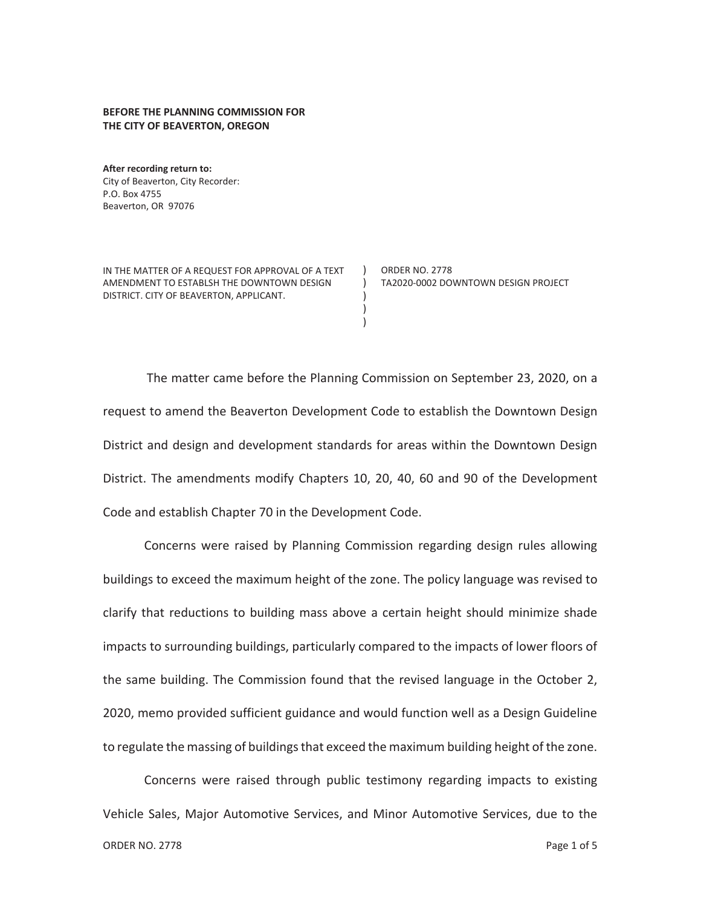## **BEFORE THE PLANNING COMMISSION FOR THE CITY OF BEAVERTON, OREGON**

**After recording return to:**  City of Beaverton, City Recorder: P.O. Box 4755 Beaverton, OR 97076

IN THE MATTER OF A REQUEST FOR APPROVAL OF A TEXT AMENDMENT TO ESTABLSH THE DOWNTOWN DESIGN DISTRICT. CITY OF BEAVERTON, APPLICANT.

ORDER NO. 2778 TA2020-0002 DOWNTOWN DESIGN PROJECT

The matter came before the Planning Commission on September 23, 2020, on a request to amend the Beaverton Development Code to establish the Downtown Design District and design and development standards for areas within the Downtown Design District. The amendments modify Chapters 10, 20, 40, 60 and 90 of the Development Code and establish Chapter 70 in the Development Code.

 $\lambda$  $\left( \right)$ ) ) )

Concerns were raised by Planning Commission regarding design rules allowing buildings to exceed the maximum height of the zone. The policy language was revised to clarify that reductions to building mass above a certain height should minimize shade impacts to surrounding buildings, particularly compared to the impacts of lower floors of the same building. The Commission found that the revised language in the October 2, 2020, memo provided sufficient guidance and would function well as a Design Guideline to regulate the massing of buildings that exceed the maximum building height of the zone.

Concerns were raised through public testimony regarding impacts to existing Vehicle Sales, Major Automotive Services, and Minor Automotive Services, due to the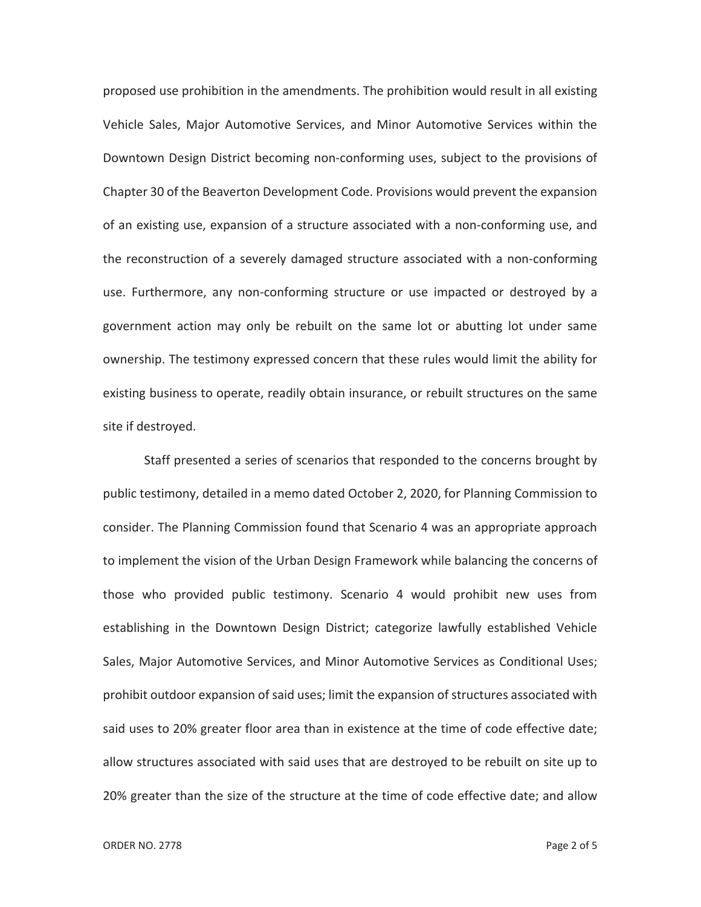proposed use prohibition in the amendments. The prohibition would result in all existing Vehicle Sales, Major Automotive Services, and Minor Automotive Services within the Downtown Design District becoming non-conforming uses, subject to the provisions of Chapter 30 of the Beaverton Development Code. Provisions would prevent the expansion of an existing use, expansion of a structure associated with a non-conforming use, and the reconstruction of a severely damaged structure associated with a non-conforming use. Furthermore, any non-conforming structure or use impacted or destroyed by a government action may only be rebuilt on the same lot or abutting lot under same ownership. The testimony expressed concern that these rules would limit the ability for existing business to operate, readily obtain insurance, or rebuilt structures on the same site if destroyed.

Staff presented a series of scenarios that responded to the concerns brought by public testimony, detailed in a memo dated October 2, 2020, for Planning Commission to consider. The Planning Commission found that Scenario 4 was an appropriate approach to implement the vision of the Urban Design Framework while balancing the concerns of those who provided public testimony. Scenario 4 would prohibit new uses from establishing in the Downtown Design District; categorize lawfully established Vehicle Sales, Major Automotive Services, and Minor Automotive Services as Conditional Uses; prohibit outdoor expansion of said uses; limit the expansion of structures associated with said uses to 20% greater floor area than in existence at the time of code effective date; allow structures associated with said uses that are destroyed to be rebuilt on site up to 20% greater than the size of the structure at the time of code effective date; and allow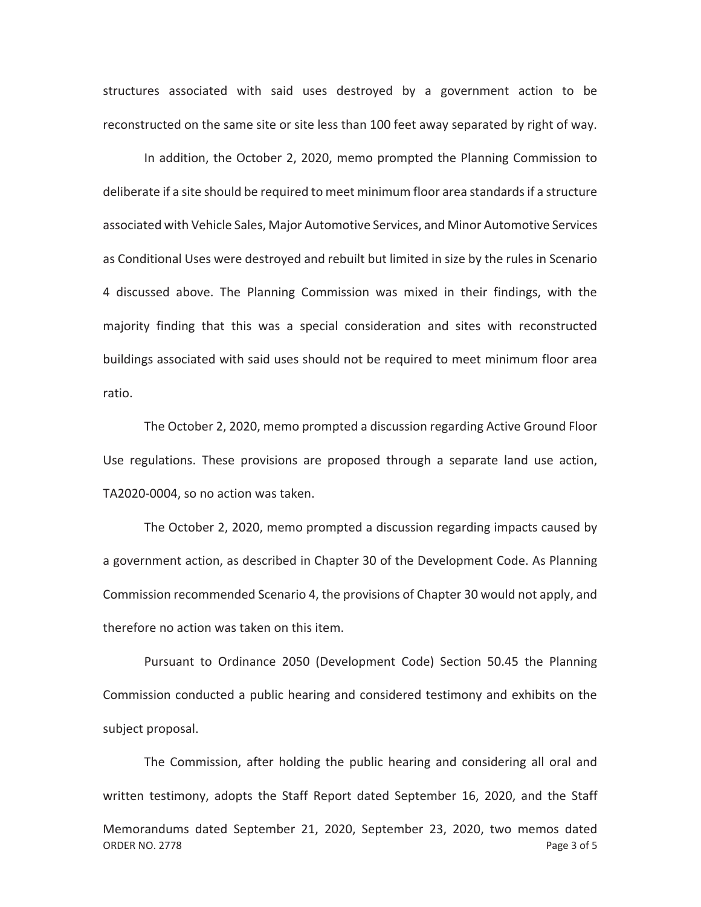structures associated with said uses destroyed by a government action to be reconstructed on the same site or site less than 100 feet away separated by right of way.

In addition, the October 2, 2020, memo prompted the Planning Commission to deliberate if a site should be required to meet minimum floor area standards if a structure associated with Vehicle Sales, Major Automotive Services, and Minor Automotive Services as Conditional Uses were destroyed and rebuilt but limited in size by the rules in Scenario 4 discussed above. The Planning Commission was mixed in their findings, with the majority finding that this was a special consideration and sites with reconstructed buildings associated with said uses should not be required to meet minimum floor area ratio.

The October 2, 2020, memo prompted a discussion regarding Active Ground Floor Use regulations. These provisions are proposed through a separate land use action, TA2020-0004, so no action was taken.

The October 2, 2020, memo prompted a discussion regarding impacts caused by a government action, as described in Chapter 30 of the Development Code. As Planning Commission recommended Scenario 4, the provisions of Chapter 30 would not apply, and therefore no action was taken on this item.

Pursuant to Ordinance 2050 (Development Code) Section 50.45 the Planning Commission conducted a public hearing and considered testimony and exhibits on the subject proposal.

ORDER NO. 2778 **Page 3 of 5** The Commission, after holding the public hearing and considering all oral and written testimony, adopts the Staff Report dated September 16, 2020, and the Staff Memorandums dated September 21, 2020, September 23, 2020, two memos dated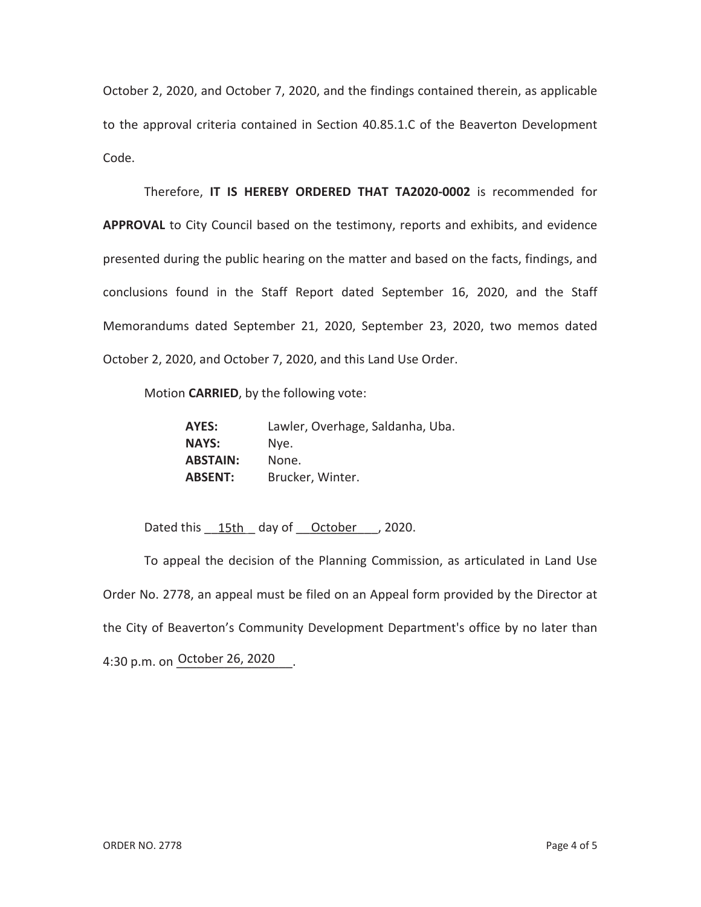October 2, 2020, and October 7, 2020, and the findings contained therein, as applicable to the approval criteria contained in Section 40.85.1.C of the Beaverton Development Code.

Therefore, **IT IS HEREBY ORDERED THAT TA2020-0002** is recommended for **APPROVAL** to City Council based on the testimony, reports and exhibits, and evidence presented during the public hearing on the matter and based on the facts, findings, and conclusions found in the Staff Report dated September 16, 2020, and the Staff Memorandums dated September 21, 2020, September 23, 2020, two memos dated October 2, 2020, and October 7, 2020, and this Land Use Order.

Motion **CARRIED**, by the following vote:

| AYES:           | Lawler, Overhage, Saldanha, Uba. |
|-----------------|----------------------------------|
| <b>NAYS:</b>    | Nve.                             |
| <b>ABSTAIN:</b> | None.                            |
| <b>ABSENT:</b>  | Brucker, Winter.                 |

Dated this  $\underline{\hspace{1em} 15th}$  day of  $\underline{\hspace{1em} 0ctober}$ , 2020.

To appeal the decision of the Planning Commission, as articulated in Land Use Order No. 2778, an appeal must be filed on an Appeal form provided by the Director at the City of Beaverton's Community Development Department's office by no later than 4:30 p.m. on October 26, 2020